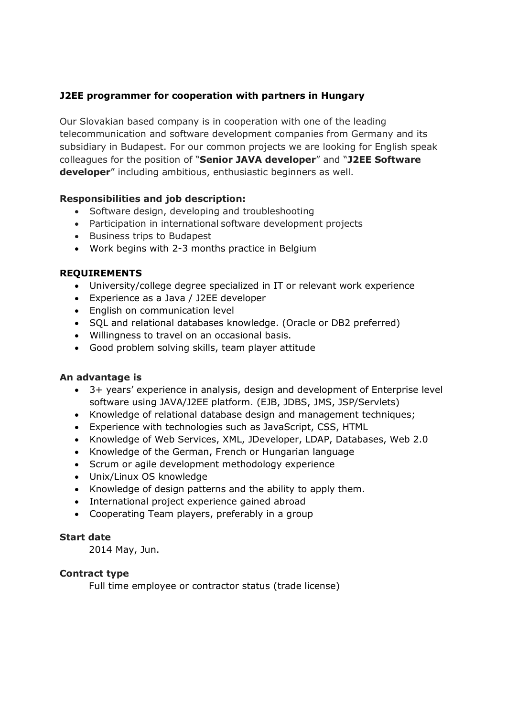# **J2EE programmer for cooperation with partners in Hungary**

Our Slovakian based company is in cooperation with one of the leading telecommunication and software development companies from Germany and its subsidiary in Budapest. For our common projects we are looking for English speak colleagues for the position of "**Senior JAVA developer**" and "**J2EE Software developer**" including ambitious, enthusiastic beginners as well.

## **Responsibilities and job description:**

- Software design, developing and troubleshooting
- Participation in international software development projects
- Business trips to Budapest
- Work begins with 2-3 months practice in Belgium

## **REQUIREMENTS**

- University/college degree specialized in IT or relevant work experience
- Experience as a Java / J2EE developer
- English on communication level
- SQL and relational databases knowledge. (Oracle or DB2 preferred)
- Willingness to travel on an occasional basis.
- Good problem solving skills, team player attitude

### **An advantage is**

- 3+ years' experience in analysis, design and development of Enterprise level software using JAVA/J2EE platform. (EJB, JDBS, JMS, JSP/Servlets)
- Knowledge of relational database design and management techniques;
- Experience with technologies such as JavaScript, CSS, HTML
- Knowledge of Web Services, XML, JDeveloper, LDAP, Databases, Web 2.0
- Knowledge of the German, French or Hungarian language
- Scrum or agile development methodology experience
- Unix/Linux OS knowledge
- Knowledge of design patterns and the ability to apply them.
- International project experience gained abroad
- Cooperating Team players, preferably in a group

### **Start date**

2014 May, Jun.

### **Contract type**

Full time employee or contractor status (trade license)